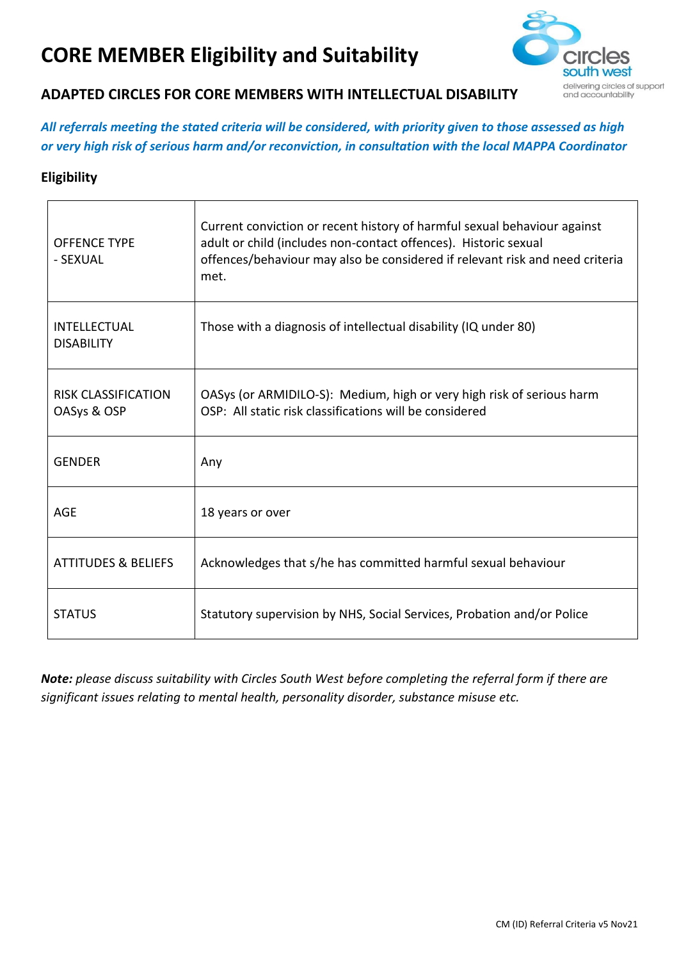## **CORE MEMBER Eligibility and Suitability**



## **ADAPTED CIRCLES FOR CORE MEMBERS WITH INTELLECTUAL DISABILITY**

*All referrals meeting the stated criteria will be considered, with priority given to those assessed as high or very high risk of serious harm and/or reconviction, in consultation with the local MAPPA Coordinator* 

## **Eligibility**

| <b>OFFENCE TYPE</b><br>- SEXUAL           | Current conviction or recent history of harmful sexual behaviour against<br>adult or child (includes non-contact offences). Historic sexual<br>offences/behaviour may also be considered if relevant risk and need criteria<br>met. |
|-------------------------------------------|-------------------------------------------------------------------------------------------------------------------------------------------------------------------------------------------------------------------------------------|
| <b>INTELLECTUAL</b><br><b>DISABILITY</b>  | Those with a diagnosis of intellectual disability (IQ under 80)                                                                                                                                                                     |
| <b>RISK CLASSIFICATION</b><br>OASys & OSP | OASys (or ARMIDILO-S): Medium, high or very high risk of serious harm<br>OSP: All static risk classifications will be considered                                                                                                    |
| <b>GENDER</b>                             | Any                                                                                                                                                                                                                                 |
| AGE                                       | 18 years or over                                                                                                                                                                                                                    |
| <b>ATTITUDES &amp; BELIEFS</b>            | Acknowledges that s/he has committed harmful sexual behaviour                                                                                                                                                                       |
| <b>STATUS</b>                             | Statutory supervision by NHS, Social Services, Probation and/or Police                                                                                                                                                              |

*Note: please discuss suitability with Circles South West before completing the referral form if there are significant issues relating to mental health, personality disorder, substance misuse etc.*